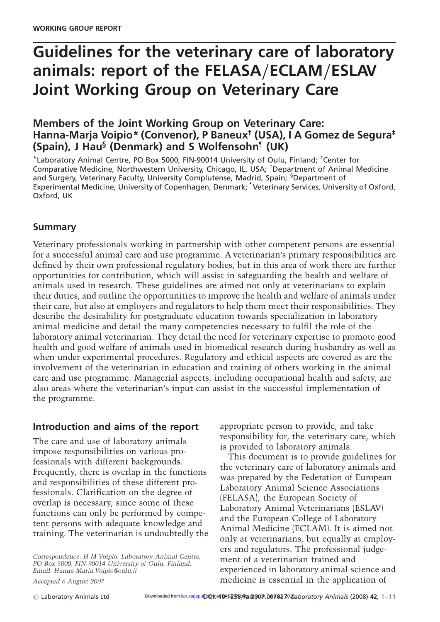# Guidelines for the veterinary care of laboratory animals: report of the FELASA/ECLAM/ESLAV Joint Working Group on Veterinary Care

# Members of the Joint Working Group on Veterinary Care: Hanna-Marja Voipio\* (Convenor), P Baneux† (USA), I A Gomez de Segura‡ (Spain), J Hau§ (Denmark) and S Wolfensohn} (UK)

\*Laboratory Animal Centre, PO Box 5000, FIN-90014 University of Oulu, Finland; † Center for Comparative Medicine, Northwestern University, Chicago, IL, USA; ‡ Department of Animal Medicine and Surgery, Veterinary Faculty, University Complutense, Madrid, Spain; <sup>§</sup>Department of Experimental Medicine, University of Copenhagen, Denmark; <sup>¶</sup>Veterinary Services, University of Oxford, Oxford, UK

## Summary

Veterinary professionals working in partnership with other competent persons are essential for a successful animal care and use programme. A veterinarian's primary responsibilities are defined by their own professional regulatory bodies, but in this area of work there are further opportunities for contribution, which will assist in safeguarding the health and welfare of animals used in research. These guidelines are aimed not only at veterinarians to explain their duties, and outline the opportunities to improve the health and welfare of animals under their care, but also at employers and regulators to help them meet their responsibilities. They describe the desirability for postgraduate education towards specialization in laboratory animal medicine and detail the many competencies necessary to fulfil the role of the laboratory animal veterinarian. They detail the need for veterinary expertise to promote good health and good welfare of animals used in biomedical research during husbandry as well as when under experimental procedures. Regulatory and ethical aspects are covered as are the involvement of the veterinarian in education and training of others working in the animal care and use programme. Managerial aspects, including occupational health and safety, are also areas where the veterinarian's input can assist in the successful implementation of the programme.

### Introduction and aims of the report

The care and use of laboratory animals impose responsibilities on various professionals with different backgrounds. Frequently, there is overlap in the functions and responsibilities of these different professionals. Clarification on the degree of overlap is necessary, since some of these functions can only be performed by competent persons with adequate knowledge and training. The veterinarian is undoubtedly the

Correspondence: H-M Voipio, Laboratory Animal Centre, PO Box 5000, FIN-90014 University of Oulu, Finland. Email: Hanna-Marja.Voipio@oulu.fi

appropriate person to provide, and take responsibility for, the veterinary care, which is provided to laboratory animals.

This document is to provide guidelines for the veterinary care of laboratory animals and was prepared by the Federation of European Laboratory Animal Science Associations (FELASA), the European Society of Laboratory Animal Veterinarians (ESLAV) and the European College of Laboratory Animal Medicine (ECLAM). It is aimed not only at veterinarians, but equally at employers and regulators. The professional judgement of a veterinarian trained and experienced in laboratory animal science and medicine is essential in the application of

Accepted 6 August 2007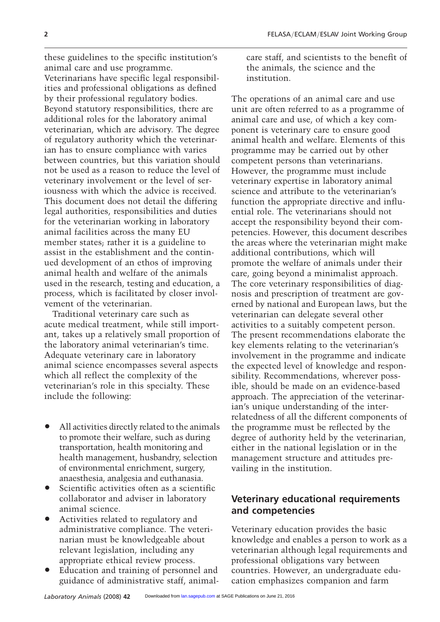these guidelines to the specific institution's animal care and use programme. Veterinarians have specific legal responsibilities and professional obligations as defined by their professional regulatory bodies. Beyond statutory responsibilities, there are additional roles for the laboratory animal veterinarian, which are advisory. The degree of regulatory authority which the veterinarian has to ensure compliance with varies between countries, but this variation should not be used as a reason to reduce the level of veterinary involvement or the level of seriousness with which the advice is received. This document does not detail the differing legal authorities, responsibilities and duties for the veterinarian working in laboratory animal facilities across the many EU member states; rather it is a guideline to assist in the establishment and the continued development of an ethos of improving animal health and welfare of the animals used in the research, testing and education, a process, which is facilitated by closer involvement of the veterinarian.

Traditional veterinary care such as acute medical treatment, while still important, takes up a relatively small proportion of the laboratory animal veterinarian's time. Adequate veterinary care in laboratory animal science encompasses several aspects which all reflect the complexity of the veterinarian's role in this specialty. These include the following:

- All activities directly related to the animals to promote their welfare, such as during transportation, health monitoring and health management, husbandry, selection of environmental enrichment, surgery, anaesthesia, analgesia and euthanasia.
- Scientific activities often as a scientific collaborator and adviser in laboratory animal science.
- † Activities related to regulatory and administrative compliance. The veterinarian must be knowledgeable about relevant legislation, including any appropriate ethical review process.
- † Education and training of personnel and guidance of administrative staff, animal-

care staff, and scientists to the benefit of the animals, the science and the institution.

The operations of an animal care and use unit are often referred to as a programme of animal care and use, of which a key component is veterinary care to ensure good animal health and welfare. Elements of this programme may be carried out by other competent persons than veterinarians. However, the programme must include veterinary expertise in laboratory animal science and attribute to the veterinarian's function the appropriate directive and influential role. The veterinarians should not accept the responsibility beyond their competencies. However, this document describes the areas where the veterinarian might make additional contributions, which will promote the welfare of animals under their care, going beyond a minimalist approach. The core veterinary responsibilities of diagnosis and prescription of treatment are governed by national and European laws, but the veterinarian can delegate several other activities to a suitably competent person. The present recommendations elaborate the key elements relating to the veterinarian's involvement in the programme and indicate the expected level of knowledge and responsibility. Recommendations, wherever possible, should be made on an evidence-based approach. The appreciation of the veterinarian's unique understanding of the interrelatedness of all the different components of the programme must be reflected by the degree of authority held by the veterinarian, either in the national legislation or in the management structure and attitudes prevailing in the institution.

#### Veterinary educational requirements and competencies

Veterinary education provides the basic knowledge and enables a person to work as a veterinarian although legal requirements and professional obligations vary between countries. However, an undergraduate education emphasizes companion and farm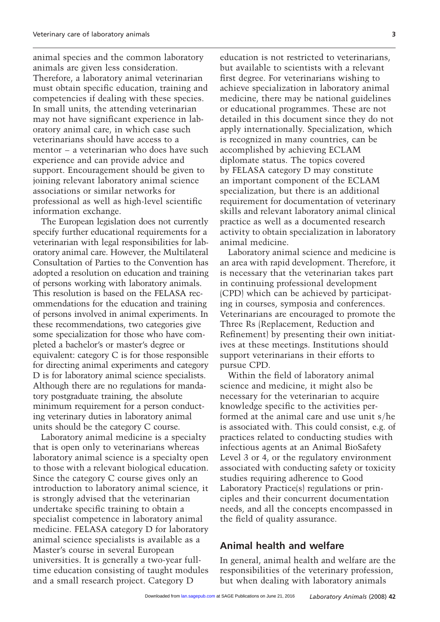animal species and the common laboratory animals are given less consideration. Therefore, a laboratory animal veterinarian must obtain specific education, training and competencies if dealing with these species. In small units, the attending veterinarian may not have significant experience in laboratory animal care, in which case such veterinarians should have access to a mentor – a veterinarian who does have such experience and can provide advice and support. Encouragement should be given to joining relevant laboratory animal science associations or similar networks for professional as well as high-level scientific information exchange.

The European legislation does not currently specify further educational requirements for a veterinarian with legal responsibilities for laboratory animal care. However, the Multilateral Consultation of Parties to the Convention has adopted a resolution on education and training of persons working with laboratory animals. This resolution is based on the FELASA recommendations for the education and training of persons involved in animal experiments. In these recommendations, two categories give some specialization for those who have completed a bachelor's or master's degree or equivalent: category C is for those responsible for directing animal experiments and category D is for laboratory animal science specialists. Although there are no regulations for mandatory postgraduate training, the absolute minimum requirement for a person conducting veterinary duties in laboratory animal units should be the category C course.

Laboratory animal medicine is a specialty that is open only to veterinarians whereas laboratory animal science is a specialty open to those with a relevant biological education. Since the category C course gives only an introduction to laboratory animal science, it is strongly advised that the veterinarian undertake specific training to obtain a specialist competence in laboratory animal medicine. FELASA category D for laboratory animal science specialists is available as a Master's course in several European universities. It is generally a two-year fulltime education consisting of taught modules and a small research project. Category D

education is not restricted to veterinarians, but available to scientists with a relevant first degree. For veterinarians wishing to achieve specialization in laboratory animal medicine, there may be national guidelines or educational programmes. These are not detailed in this document since they do not apply internationally. Specialization, which is recognized in many countries, can be accomplished by achieving ECLAM diplomate status. The topics covered by FELASA category D may constitute an important component of the ECLAM specialization, but there is an additional requirement for documentation of veterinary skills and relevant laboratory animal clinical practice as well as a documented research activity to obtain specialization in laboratory animal medicine.

Laboratory animal science and medicine is an area with rapid development. Therefore, it is necessary that the veterinarian takes part in continuing professional development (CPD) which can be achieved by participating in courses, symposia and conferences. Veterinarians are encouraged to promote the Three Rs (Replacement, Reduction and Refinement) by presenting their own initiatives at these meetings. Institutions should support veterinarians in their efforts to pursue CPD.

Within the field of laboratory animal science and medicine, it might also be necessary for the veterinarian to acquire knowledge specific to the activities performed at the animal care and use unit s/he is associated with. This could consist, e.g. of practices related to conducting studies with infectious agents at an Animal BioSafety Level 3 or 4, or the regulatory environment associated with conducting safety or toxicity studies requiring adherence to Good Laboratory Practice(s) regulations or principles and their concurrent documentation needs, and all the concepts encompassed in the field of quality assurance.

#### Animal health and welfare

In general, animal health and welfare are the responsibilities of the veterinary profession, but when dealing with laboratory animals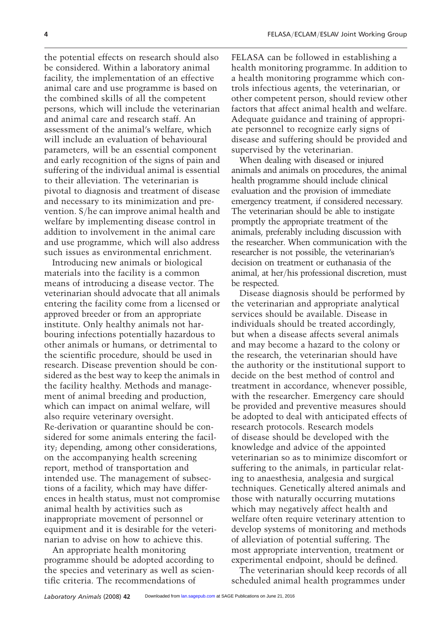the potential effects on research should also be considered. Within a laboratory animal facility, the implementation of an effective animal care and use programme is based on the combined skills of all the competent persons, which will include the veterinarian and animal care and research staff. An assessment of the animal's welfare, which will include an evaluation of behavioural parameters, will be an essential component and early recognition of the signs of pain and suffering of the individual animal is essential to their alleviation. The veterinarian is pivotal to diagnosis and treatment of disease and necessary to its minimization and prevention. S/he can improve animal health and welfare by implementing disease control in addition to involvement in the animal care and use programme, which will also address such issues as environmental enrichment.

Introducing new animals or biological materials into the facility is a common means of introducing a disease vector. The veterinarian should advocate that all animals entering the facility come from a licensed or approved breeder or from an appropriate institute. Only healthy animals not harbouring infections potentially hazardous to other animals or humans, or detrimental to the scientific procedure, should be used in research. Disease prevention should be considered as the best way to keep the animals in the facility healthy. Methods and management of animal breeding and production, which can impact on animal welfare, will also require veterinary oversight. Re-derivation or quarantine should be considered for some animals entering the facility; depending, among other considerations, on the accompanying health screening report, method of transportation and intended use. The management of subsections of a facility, which may have differences in health status, must not compromise animal health by activities such as inappropriate movement of personnel or equipment and it is desirable for the veterinarian to advise on how to achieve this.

An appropriate health monitoring programme should be adopted according to the species and veterinary as well as scientific criteria. The recommendations of

FELASA can be followed in establishing a health monitoring programme. In addition to a health monitoring programme which controls infectious agents, the veterinarian, or other competent person, should review other factors that affect animal health and welfare. Adequate guidance and training of appropriate personnel to recognize early signs of disease and suffering should be provided and supervised by the veterinarian.

When dealing with diseased or injured animals and animals on procedures, the animal health programme should include clinical evaluation and the provision of immediate emergency treatment, if considered necessary. The veterinarian should be able to instigate promptly the appropriate treatment of the animals, preferably including discussion with the researcher. When communication with the researcher is not possible, the veterinarian's decision on treatment or euthanasia of the animal, at her/his professional discretion, must be respected.

Disease diagnosis should be performed by the veterinarian and appropriate analytical services should be available. Disease in individuals should be treated accordingly, but when a disease affects several animals and may become a hazard to the colony or the research, the veterinarian should have the authority or the institutional support to decide on the best method of control and treatment in accordance, whenever possible, with the researcher. Emergency care should be provided and preventive measures should be adopted to deal with anticipated effects of research protocols. Research models of disease should be developed with the knowledge and advice of the appointed veterinarian so as to minimize discomfort or suffering to the animals, in particular relating to anaesthesia, analgesia and surgical techniques. Genetically altered animals and those with naturally occurring mutations which may negatively affect health and welfare often require veterinary attention to develop systems of monitoring and methods of alleviation of potential suffering. The most appropriate intervention, treatment or experimental endpoint, should be defined.

The veterinarian should keep records of all scheduled animal health programmes under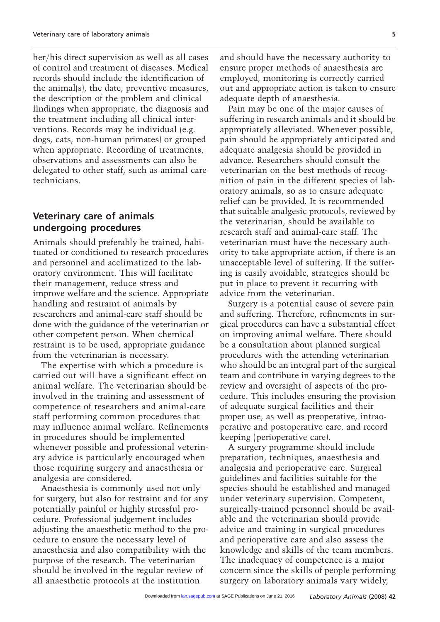her/his direct supervision as well as all cases of control and treatment of diseases. Medical records should include the identification of the animal(s), the date, preventive measures, the description of the problem and clinical findings when appropriate, the diagnosis and the treatment including all clinical interventions. Records may be individual (e.g. dogs, cats, non-human primates) or grouped when appropriate. Recording of treatments, observations and assessments can also be delegated to other staff, such as animal care technicians.

#### Veterinary care of animals undergoing procedures

Animals should preferably be trained, habituated or conditioned to research procedures and personnel and acclimatized to the laboratory environment. This will facilitate their management, reduce stress and improve welfare and the science. Appropriate handling and restraint of animals by researchers and animal-care staff should be done with the guidance of the veterinarian or other competent person. When chemical restraint is to be used, appropriate guidance from the veterinarian is necessary.

The expertise with which a procedure is carried out will have a significant effect on animal welfare. The veterinarian should be involved in the training and assessment of competence of researchers and animal-care staff performing common procedures that may influence animal welfare. Refinements in procedures should be implemented whenever possible and professional veterinary advice is particularly encouraged when those requiring surgery and anaesthesia or analgesia are considered.

Anaesthesia is commonly used not only for surgery, but also for restraint and for any potentially painful or highly stressful procedure. Professional judgement includes adjusting the anaesthetic method to the procedure to ensure the necessary level of anaesthesia and also compatibility with the purpose of the research. The veterinarian should be involved in the regular review of all anaesthetic protocols at the institution

and should have the necessary authority to ensure proper methods of anaesthesia are employed, monitoring is correctly carried out and appropriate action is taken to ensure adequate depth of anaesthesia.

Pain may be one of the major causes of suffering in research animals and it should be appropriately alleviated. Whenever possible, pain should be appropriately anticipated and adequate analgesia should be provided in advance. Researchers should consult the veterinarian on the best methods of recognition of pain in the different species of laboratory animals, so as to ensure adequate relief can be provided. It is recommended that suitable analgesic protocols, reviewed by the veterinarian, should be available to research staff and animal-care staff. The veterinarian must have the necessary authority to take appropriate action, if there is an unacceptable level of suffering. If the suffering is easily avoidable, strategies should be put in place to prevent it recurring with advice from the veterinarian.

Surgery is a potential cause of severe pain and suffering. Therefore, refinements in surgical procedures can have a substantial effect on improving animal welfare. There should be a consultation about planned surgical procedures with the attending veterinarian who should be an integral part of the surgical team and contribute in varying degrees to the review and oversight of aspects of the procedure. This includes ensuring the provision of adequate surgical facilities and their proper use, as well as preoperative, intraoperative and postoperative care, and record keeping (perioperative care).

A surgery programme should include preparation, techniques, anaesthesia and analgesia and perioperative care. Surgical guidelines and facilities suitable for the species should be established and managed under veterinary supervision. Competent, surgically-trained personnel should be available and the veterinarian should provide advice and training in surgical procedures and perioperative care and also assess the knowledge and skills of the team members. The inadequacy of competence is a major concern since the skills of people performing surgery on laboratory animals vary widely,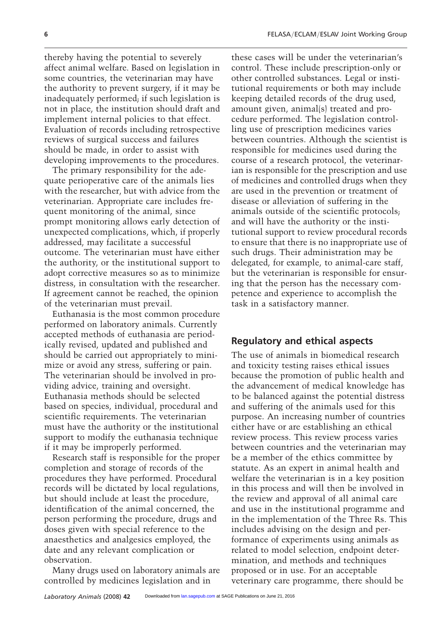thereby having the potential to severely affect animal welfare. Based on legislation in some countries, the veterinarian may have the authority to prevent surgery, if it may be inadequately performed; if such legislation is not in place, the institution should draft and implement internal policies to that effect. Evaluation of records including retrospective reviews of surgical success and failures should be made, in order to assist with developing improvements to the procedures.

The primary responsibility for the adequate perioperative care of the animals lies with the researcher, but with advice from the veterinarian. Appropriate care includes frequent monitoring of the animal, since prompt monitoring allows early detection of unexpected complications, which, if properly addressed, may facilitate a successful outcome. The veterinarian must have either the authority, or the institutional support to adopt corrective measures so as to minimize distress, in consultation with the researcher. If agreement cannot be reached, the opinion of the veterinarian must prevail.

Euthanasia is the most common procedure performed on laboratory animals. Currently accepted methods of euthanasia are periodically revised, updated and published and should be carried out appropriately to minimize or avoid any stress, suffering or pain. The veterinarian should be involved in providing advice, training and oversight. Euthanasia methods should be selected based on species, individual, procedural and scientific requirements. The veterinarian must have the authority or the institutional support to modify the euthanasia technique if it may be improperly performed.

Research staff is responsible for the proper completion and storage of records of the procedures they have performed. Procedural records will be dictated by local regulations, but should include at least the procedure, identification of the animal concerned, the person performing the procedure, drugs and doses given with special reference to the anaesthetics and analgesics employed, the date and any relevant complication or observation.

Many drugs used on laboratory animals are controlled by medicines legislation and in

these cases will be under the veterinarian's control. These include prescription-only or other controlled substances. Legal or institutional requirements or both may include keeping detailed records of the drug used, amount given, animal(s) treated and procedure performed. The legislation controlling use of prescription medicines varies between countries. Although the scientist is responsible for medicines used during the course of a research protocol, the veterinarian is responsible for the prescription and use of medicines and controlled drugs when they are used in the prevention or treatment of disease or alleviation of suffering in the animals outside of the scientific protocols; and will have the authority or the institutional support to review procedural records to ensure that there is no inappropriate use of such drugs. Their administration may be delegated, for example, to animal-care staff, but the veterinarian is responsible for ensuring that the person has the necessary competence and experience to accomplish the task in a satisfactory manner.

#### Regulatory and ethical aspects

The use of animals in biomedical research and toxicity testing raises ethical issues because the promotion of public health and the advancement of medical knowledge has to be balanced against the potential distress and suffering of the animals used for this purpose. An increasing number of countries either have or are establishing an ethical review process. This review process varies between countries and the veterinarian may be a member of the ethics committee by statute. As an expert in animal health and welfare the veterinarian is in a key position in this process and will then be involved in the review and approval of all animal care and use in the institutional programme and in the implementation of the Three Rs. This includes advising on the design and performance of experiments using animals as related to model selection, endpoint determination, and methods and techniques proposed or in use. For an acceptable veterinary care programme, there should be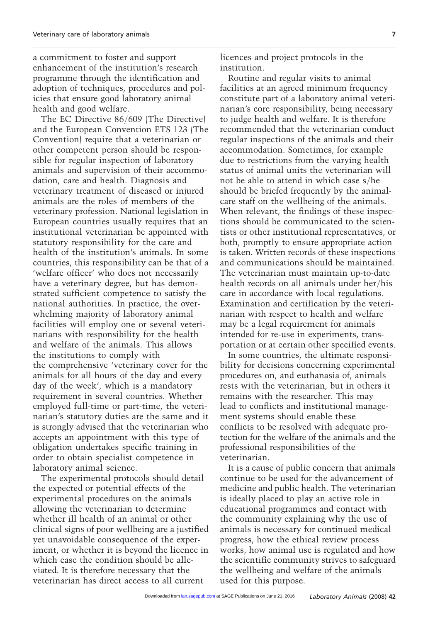a commitment to foster and support enhancement of the institution's research programme through the identification and adoption of techniques, procedures and policies that ensure good laboratory animal health and good welfare.

The EC Directive 86/609 (The Directive) and the European Convention ETS 123 (The Convention) require that a veterinarian or other competent person should be responsible for regular inspection of laboratory animals and supervision of their accommodation, care and health. Diagnosis and veterinary treatment of diseased or injured animals are the roles of members of the veterinary profession. National legislation in European countries usually requires that an institutional veterinarian be appointed with statutory responsibility for the care and health of the institution's animals. In some countries, this responsibility can be that of a 'welfare officer' who does not necessarily have a veterinary degree, but has demonstrated sufficient competence to satisfy the national authorities. In practice, the overwhelming majority of laboratory animal facilities will employ one or several veterinarians with responsibility for the health and welfare of the animals. This allows the institutions to comply with the comprehensive 'veterinary cover for the animals for all hours of the day and every day of the week', which is a mandatory requirement in several countries. Whether employed full-time or part-time, the veterinarian's statutory duties are the same and it is strongly advised that the veterinarian who accepts an appointment with this type of obligation undertakes specific training in order to obtain specialist competence in laboratory animal science.

The experimental protocols should detail the expected or potential effects of the experimental procedures on the animals allowing the veterinarian to determine whether ill health of an animal or other clinical signs of poor wellbeing are a justified yet unavoidable consequence of the experiment, or whether it is beyond the licence in which case the condition should be alleviated. It is therefore necessary that the veterinarian has direct access to all current

licences and project protocols in the institution.

Routine and regular visits to animal facilities at an agreed minimum frequency constitute part of a laboratory animal veterinarian's core responsibility, being necessary to judge health and welfare. It is therefore recommended that the veterinarian conduct regular inspections of the animals and their accommodation. Sometimes, for example due to restrictions from the varying health status of animal units the veterinarian will not be able to attend in which case s/he should be briefed frequently by the animalcare staff on the wellbeing of the animals. When relevant, the findings of these inspections should be communicated to the scientists or other institutional representatives, or both, promptly to ensure appropriate action is taken. Written records of these inspections and communications should be maintained. The veterinarian must maintain up-to-date health records on all animals under her/his care in accordance with local regulations. Examination and certification by the veterinarian with respect to health and welfare may be a legal requirement for animals intended for re-use in experiments, transportation or at certain other specified events.

In some countries, the ultimate responsibility for decisions concerning experimental procedures on, and euthanasia of, animals rests with the veterinarian, but in others it remains with the researcher. This may lead to conflicts and institutional management systems should enable these conflicts to be resolved with adequate protection for the welfare of the animals and the professional responsibilities of the veterinarian.

It is a cause of public concern that animals continue to be used for the advancement of medicine and public health. The veterinarian is ideally placed to play an active role in educational programmes and contact with the community explaining why the use of animals is necessary for continued medical progress, how the ethical review process works, how animal use is regulated and how the scientific community strives to safeguard the wellbeing and welfare of the animals used for this purpose.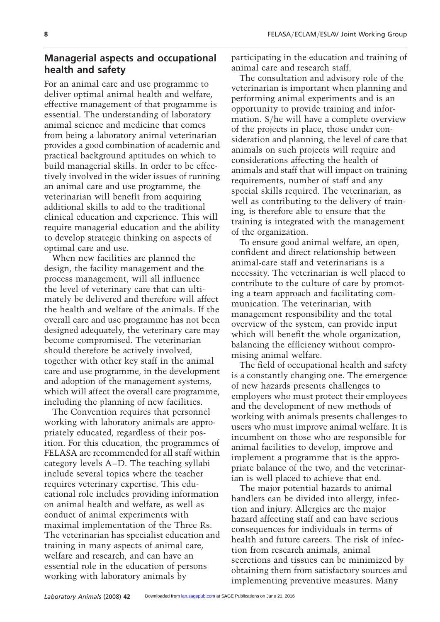#### Managerial aspects and occupational health and safety

For an animal care and use programme to deliver optimal animal health and welfare, effective management of that programme is essential. The understanding of laboratory animal science and medicine that comes from being a laboratory animal veterinarian provides a good combination of academic and practical background aptitudes on which to build managerial skills. In order to be effectively involved in the wider issues of running an animal care and use programme, the veterinarian will benefit from acquiring additional skills to add to the traditional clinical education and experience. This will require managerial education and the ability to develop strategic thinking on aspects of optimal care and use.

When new facilities are planned the design, the facility management and the process management, will all influence the level of veterinary care that can ultimately be delivered and therefore will affect the health and welfare of the animals. If the overall care and use programme has not been designed adequately, the veterinary care may become compromised. The veterinarian should therefore be actively involved, together with other key staff in the animal care and use programme, in the development and adoption of the management systems, which will affect the overall care programme, including the planning of new facilities.

The Convention requires that personnel working with laboratory animals are appropriately educated, regardless of their position. For this education, the programmes of FELASA are recommended for all staff within category levels A–D. The teaching syllabi include several topics where the teacher requires veterinary expertise. This educational role includes providing information on animal health and welfare, as well as conduct of animal experiments with maximal implementation of the Three Rs. The veterinarian has specialist education and training in many aspects of animal care, welfare and research, and can have an essential role in the education of persons working with laboratory animals by

participating in the education and training of animal care and research staff.

The consultation and advisory role of the veterinarian is important when planning and performing animal experiments and is an opportunity to provide training and information. S/he will have a complete overview of the projects in place, those under consideration and planning, the level of care that animals on such projects will require and considerations affecting the health of animals and staff that will impact on training requirements, number of staff and any special skills required. The veterinarian, as well as contributing to the delivery of training, is therefore able to ensure that the training is integrated with the management of the organization.

To ensure good animal welfare, an open, confident and direct relationship between animal-care staff and veterinarians is a necessity. The veterinarian is well placed to contribute to the culture of care by promoting a team approach and facilitating communication. The veterinarian, with management responsibility and the total overview of the system, can provide input which will benefit the whole organization, balancing the efficiency without compromising animal welfare.

The field of occupational health and safety is a constantly changing one. The emergence of new hazards presents challenges to employers who must protect their employees and the development of new methods of working with animals presents challenges to users who must improve animal welfare. It is incumbent on those who are responsible for animal facilities to develop, improve and implement a programme that is the appropriate balance of the two, and the veterinarian is well placed to achieve that end.

The major potential hazards to animal handlers can be divided into allergy, infection and injury. Allergies are the major hazard affecting staff and can have serious consequences for individuals in terms of health and future careers. The risk of infection from research animals, animal secretions and tissues can be minimized by obtaining them from satisfactory sources and implementing preventive measures. Many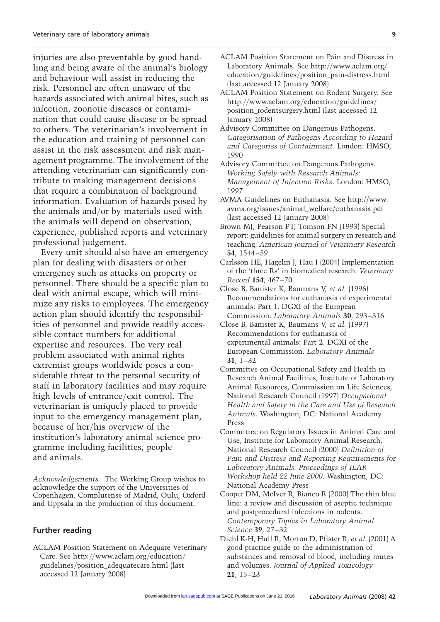injuries are also preventable by good handling and being aware of the animal's biology and behaviour will assist in reducing the risk. Personnel are often unaware of the hazards associated with animal bites, such as infection, zoonotic diseases or contamination that could cause disease or be spread to others. The veterinarian's involvement in the education and training of personnel can assist in the risk assessment and risk management programme. The involvement of the attending veterinarian can significantly contribute to making management decisions that require a combination of background information. Evaluation of hazards posed by the animals and/or by materials used with the animals will depend on observation, experience, published reports and veterinary professional judgement.

Every unit should also have an emergency plan for dealing with disasters or other emergency such as attacks on property or personnel. There should be a specific plan to deal with animal escape, which will minimize any risks to employees. The emergency action plan should identify the responsibilities of personnel and provide readily accessible contact numbers for additional expertise and resources. The very real problem associated with animal rights extremist groups worldwide poses a considerable threat to the personal security of staff in laboratory facilities and may require high levels of entrance/exit control. The veterinarian is uniquely placed to provide input to the emergency management plan, because of her/his overview of the institution's laboratory animal science programme including facilities, people and animals.

Acknowledgements The Working Group wishes to acknowledge the support of the Universities of Copenhagen, Complutense of Madrid, Oulu, Oxford and Uppsala in the production of this document.

#### Further reading

ACLAM Position Statement on Adequate Veterinary Care. See http://www.aclam.org/education/ guidelines/position\_adequatecare.html (last accessed 12 January 2008)

- ACLAM Position Statement on Pain and Distress in Laboratory Animals. See http://www.aclam.org/ education/guidelines/position\_pain-distress.html (last accessed 12 January 2008)
- ACLAM Position Statement on Rodent Surgery. See http://www.aclam.org/education/guidelines/ position\_rodentsurgery.html (last accessed 12 January 2008)
- Advisory Committee on Dangerous Pathogens. Categorisation of Pathogens According to Hazard and Categories of Containment. London: HMSO, 1990
- Advisory Committee on Dangerous Pathogens. Working Safely with Research Animals: Management of Infection Risks. London: HMSO, 1997
- AVMA Guidelines on Euthanasia. See http://www. avma.org/issues/animal\_welfare/euthanasia.pdf (last accessed 12 January 2008)
- Brown MJ, Pearson PT, Tomson FN (1993) Special report: guidelines for animal surgery in research and teaching. American Journal of Veterinary Research 54, 1544–59
- Carlsson HE, Hagelin J, Hau J (2004) Implementation of the 'three Rs' in biomedical research. Veterinary Record 154, 467–70
- Close B, Banister K, Baumans V, et al. (1996) Recommendations for euthanasia of experimental animals: Part 1. DGXI of the European Commission. Laboratory Animals 30, 293–316
- Close B, Banister K, Baumans V, et al. (1997) Recommendations for euthanasia of experimental animals: Part 2. DGXI of the European Commission. Laboratory Animals 31, 1–32
- Committee on Occupational Safety and Health in Research Animal Facilities, Institute of Laboratory Animal Resources, Commission on Life Sciences, National Research Council (1997) Occupational Health and Safety in the Care and Use of Research Animals. Washington, DC: National Academy Press
- Committee on Regulatory Issues in Animal Care and Use, Institute for Laboratory Animal Research, National Research Council (2000) Definition of Pain and Distress and Reporting Requirements for Laboratory Animals. Proceedings of ILAR Workshop held 22 June 2000. Washington, DC: National Academy Press
- Cooper DM, McIver R, Bianco R (2000) The thin blue line: a review and discussion of aseptic technique and postprocedural infections in rodents. Contemporary Topics in Laboratory Animal Science 39, 27–32
- Diehl K-H, Hull R, Morton D, Pfister R, et al. (2001) A good practice guide to the administration of substances and removal of blood, including routes and volumes. Journal of Applied Toxicology 21, 15–23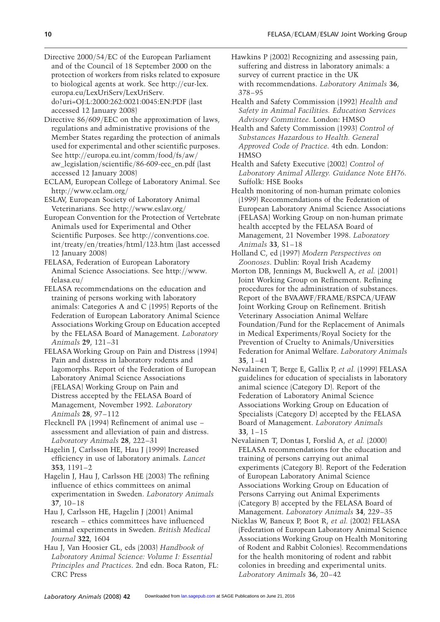- Directive 2000/54/EC of the European Parliament and of the Council of 18 September 2000 on the protection of workers from risks related to exposure to biological agents at work. See http://eur-lex. europa.eu/LexUriServ/LexUriServ. do?uri=OJ:L:2000:262:0021:0045:EN:PDF (last accessed 12 January 2008)
- Directive 86/609/EEC on the approximation of laws, regulations and administrative provisions of the Member States regarding the protection of animals used for experimental and other scientific purposes. See http://europa.eu.int/comm/food/fs/aw/ aw\_legislation/scientific/86-609-eec\_en.pdf (last accessed 12 January 2008)
- ECLAM, European College of Laboratory Animal. See http://www.eclam.org/
- ESLAV, European Society of Laboratory Animal Veterinarians. See http://www.eslav.org/
- European Convention for the Protection of Vertebrate Animals used for Experimental and Other Scientific Purposes. See http://conventions.coe. int/treaty/en/treaties/html/123.htm (last accessed 12 January 2008)
- FELASA, Federation of European Laboratory Animal Science Associations. See http://www. felasa.eu/
- FELASA recommendations on the education and training of persons working with laboratory animals: Categories A and C (1995) Reports of the Federation of European Laboratory Animal Science Associations Working Group on Education accepted by the FELASA Board of Management. Laboratory Animals 29, 121–31
- FELASA Working Group on Pain and Distress (1994) Pain and distress in laboratory rodents and lagomorphs. Report of the Federation of European Laboratory Animal Science Associations (FELASA) Working Group on Pain and Distress accepted by the FELASA Board of Management, November 1992. Laboratory Animals 28, 97–112
- Flecknell PA (1994) Refinement of animal use assessment and alleviation of pain and distress. Laboratory Animals 28, 222–31
- Hagelin J, Carlsson HE, Hau J (1999) Increased efficiency in use of laboratory animals. Lancet 353, 1191–2
- Hagelin J, Hau J, Carlsson HE (2003) The refining influence of ethics committees on animal experimentation in Sweden. Laboratory Animals 37, 10–18
- Hau J, Carlsson HE, Hagelin J (2001) Animal research – ethics committees have influenced animal experiments in Sweden. British Medical Journal 322, 1604
- Hau J, Van Hoosier GL, eds (2003) Handbook of Laboratory Animal Science: Volume I: Essential Principles and Practices. 2nd edn. Boca Raton, FL: CRC Press
- Hawkins P (2002) Recognizing and assessing pain, suffering and distress in laboratory animals: a survey of current practice in the UK with recommendations. Laboratory Animals 36, 378–95
- Health and Safety Commission (1992) Health and Safety in Animal Facilities. Education Services Advisory Committee. London: HMSO
- Health and Safety Commission (1993) Control of Substances Hazardous to Health. General Approved Code of Practice. 4th edn. London: **HMSO**
- Health and Safety Executive (2002) Control of Laboratory Animal Allergy. Guidance Note EH76. Suffolk: HSE Books
- Health monitoring of non-human primate colonies (1999) Recommendations of the Federation of European Laboratory Animal Science Associations (FELASA) Working Group on non-human primate health accepted by the FELASA Board of Management, 21 November 1998. Laboratory Animals 33, S1–18
- Holland C, ed (1997) Modern Perspectives on Zoonoses. Dublin: Royal Irish Academy
- Morton DB, Jennings M, Buckwell A, et al. (2001) Joint Working Group on Refinement. Refining procedures for the administration of substances. Report of the BVAAWF/FRAME/RSPCA/UFAW Joint Working Group on Refinement. British Veterinary Association Animal Welfare Foundation/Fund for the Replacement of Animals in Medical Experiments/Royal Society for the Prevention of Cruelty to Animals/Universities Federation for Animal Welfare. Laboratory Animals 35, 1–41
- Nevalainen T, Berge E, Gallix P, et al. (1999) FELASA guidelines for education of specialists in laboratory animal science (Category D). Report of the Federation of Laboratory Animal Science Associations Working Group on Education of Specialists (Category D) accepted by the FELASA Board of Management. Laboratory Animals 33, 1–15
- Nevalainen T, Dontas I, Forslid A, et al. (2000) FELASA recommendations for the education and training of persons carrying out animal experiments (Category B). Report of the Federation of European Laboratory Animal Science Associations Working Group on Education of Persons Carrying out Animal Experiments (Category B) accepted by the FELASA Board of Management. Laboratory Animals 34, 229–35
- Nicklas W, Baneux P, Boot R, et al. (2002) FELASA (Federation of European Laboratory Animal Science Associations Working Group on Health Monitoring of Rodent and Rabbit Colonies). Recommendations for the health monitoring of rodent and rabbit colonies in breeding and experimental units. Laboratory Animals 36, 20–42